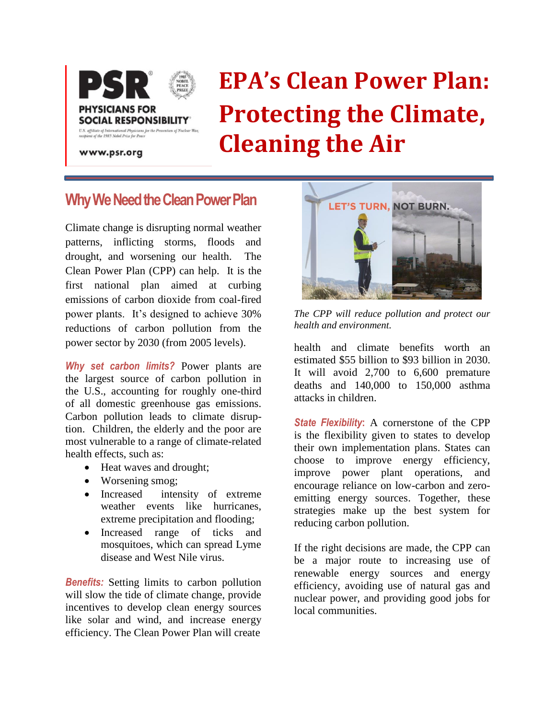

# **EPA's Clean Power Plan: Protecting the Climate, Cleaning the Air**

www.psr.org

## **Why We Need the Clean Power Plan**

Climate change is disrupting normal weather patterns, inflicting storms, floods and drought, and worsening our health. The Clean Power Plan (CPP) can help. It is the first national plan aimed at curbing emissions of carbon dioxide from coal-fired power plants. It's designed to achieve 30% reductions of carbon pollution from the power sector by 2030 (from 2005 levels).

*Why set carbon limits?* Power plants are the largest source of carbon pollution in the U.S., accounting for roughly one-third of all domestic greenhouse gas emissions. Carbon pollution leads to climate disruption. Children, the elderly and the poor are most vulnerable to a range of climate-related health effects, such as:

- Heat waves and drought;
- Worsening smog;
- Increased intensity of extreme weather events like hurricanes, extreme precipitation and flooding;
- Increased range of ticks and mosquitoes, which can spread Lyme disease and West Nile virus.

*Benefits:* Setting limits to carbon pollution will slow the tide of climate change, provide incentives to develop clean energy sources like solar and wind, and increase energy efficiency. The Clean Power Plan will create



*The CPP will reduce pollution and protect our health and environment.*

health and climate benefits worth an estimated \$55 billion to \$93 billion in 2030. It will avoid 2,700 to 6,600 premature deaths and 140,000 to 150,000 asthma attacks in children.

*State Flexibility***:** A cornerstone of the CPP is the flexibility given to states to develop their own implementation plans. States can choose to improve energy efficiency, improve power plant operations, and encourage reliance on low-carbon and zeroemitting energy sources. Together, these strategies make up the best system for reducing carbon pollution.

If the right decisions are made, the CPP can be a major route to increasing use of renewable energy sources and energy efficiency, avoiding use of natural gas and nuclear power, and providing good jobs for local communities.